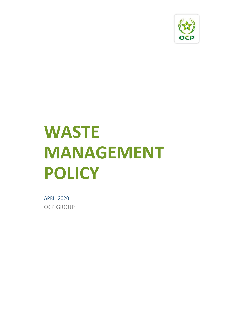

# **WASTE MANAGEMENT POLICY**

APRIL 2020 OCP GROUP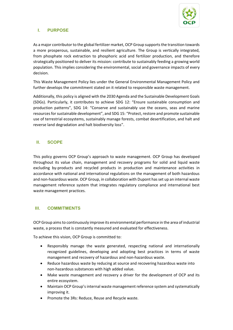

## **I. PURPOSE**

As a major contributor to the global fertilizer market, OCP Group supports the transition towards a more prosperous, sustainable, and resilient agriculture. The Group is vertically integrated, from phosphate rock extraction to phosphoric acid and fertilizer production, and therefore strategically positioned to deliver its mission: contribute to sustainably feeding a growing world population. This implies considering the environmental, social and governance impacts of every decision.

This Waste Management Policy lies under the General Environmental Management Policy and further develops the commitment stated on it related to responsible waste management.

Additionally, this policy is aligned with the 2030 Agenda and the Sustainable Development Goals (SDGs). Particularly, it contributes to achieve SDG 12: "Ensure sustainable consumption and production patterns", SDG 14: "Conserve and sustainably use the oceans, seas and marine resources for sustainable development", and SDG 15: "Protect, restore and promote sustainable use of terrestrial ecosystems, sustainably manage forests, combat desertification, and halt and reverse land degradation and halt biodiversity loss".

### **II. SCOPE**

This policy governs OCP Group's approach to waste management. OCP Group has developed throughout its value chain, management and recovery programs for solid and liquid waste excluding by-products and recycled products in production and maintenance activities in accordance with national and international regulations on the management of both hazardous and non-hazardous waste. OCP Group, in collaboration with Dupont has set up an internal waste management reference system that integrates regulatory compliance and international best waste management practices.

#### **III. COMMITMENTS**

OCP Group aims to continuously improve its environmental performance in the area of industrial waste, a process that is constantly measured and evaluated for effectiveness.

To achieve this vision, OCP Group is committed to:

- Responsibly manage the waste generated, respecting national and internationally recognized guidelines, developing and adopting best practices in terms of waste management and recovery of hazardous and non-hazardous waste.
- Reduce hazardous waste by reducing at source and recovering hazardous waste into non-hazardous substances with high added value.
- Make waste management and recovery a driver for the development of OCP and its entire ecosystem.
- Maintain OCP Group's internal waste management reference system and systematically improving it.
- Promote the 3Rs: Reduce, Reuse and Recycle waste.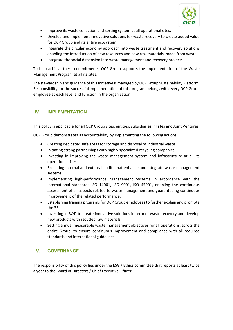

- Improve its waste collection and sorting system at all operational sites.
- Develop and implement innovative solutions for waste recovery to create added value for OCP Group and its entire ecosystem.
- Integrate the circular economy approach into waste treatment and recovery solutions enabling the introduction of new resources and new raw materials, made from waste.
- Integrate the social dimension into waste management and recovery projects.

To help achieve these commitments, OCP Group supports the implementation of the Waste Management Program at all its sites.

The stewardship and guidance of this initiative is managed by OCP Group Sustainability Platform. Responsibility for the successful implementation of this program belongs with every OCP Group employee at each level and function in the organization.

## **IV. IMPLEMENTATION**

This policy is applicable for all OCP Group sites, entities, subsidiaries, filiates and Joint Ventures.

OCP Group demonstrates its accountability by implementing the following actions:

- Creating dedicated safe areas for storage and disposal of industrial waste.
- Initiating strong partnerships with highly specialized recycling companies.
- Investing in improving the waste management system and infrastructure at all its operational sites.
- Executing internal and external audits that enhance and integrate waste management systems.
- Implementing high-performance Management Systems in accordance with the international standards ISO 14001, ISO 9001, ISO 45001, enabling the continuous assessment of all aspects related to waste management and guaranteeing continuous improvement of the related performance.
- Establishing training programs for OCP Group employees to further explain and promote the 3Rs.
- Investing in R&D to create innovative solutions in term of waste recovery and develop new products with recycled raw materials.
- Setting annual measurable waste management objectives for all operations, across the entire Group, to ensure continuous improvement and compliance with all required standards and international guidelines.

# **V. GOVERNANCE**

The responsibility of this policy lies under the ESG / Ethics committee that reports at least twice a year to the Board of Directors / Chief Executive Officer.